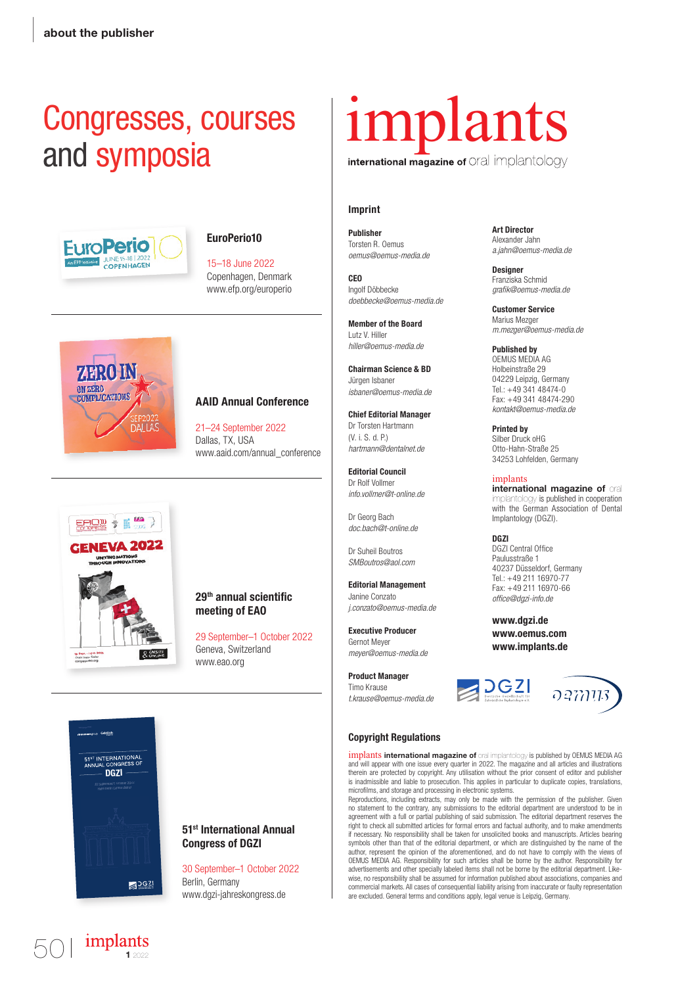## Congresses, courses and symposia



### EuroPerio10

15–18 June 2022 Copenhagen, Denmark www.efp.org/europerio



 $E A O W =$ 

29 Sept. - 1 Oct. :<br>Chair: Irena Saile

**GENEVA 2022** 

#### AAID Annual Conference

21–24 September 2022 Dallas, TX, USA www.aaid.com/annual\_conference

# international magazine of Oral implantology

### Imprint

 Publisher Torsten R. Oemus *oemus@oemus-media.de*

CEO Ingolf Döbbecke *doebbecke@oemus-media.de*

Member of the Board Lutz V. Hiller *hiller@oemus-media.de*

Chairman Science & BD Jürgen Isbaner *isbaner@oemus-media.de*

Chief Editorial Manager Dr Torsten Hartmann (V. i. S. d. P.) *hartmann@dentalnet.de*

Editorial Council Dr Rolf Vollmer *info.vollmer@t-online.de*

Dr Georg Bach *doc.bach@t-online.de*

Dr Suheil Boutros *SMBoutros@aol.com*

Editorial Management Janine Conzato *j.conzato@oemus-media.de*

Executive Producer Gernot Meyer *meyer@oemus-media.de*

Product Manager Timo Krause *t.krause@oemus-media.de* Art Director Alexander Jahn *a.jahn@oemus-media.de*

Designer Franziska Schmid *gra k@oemus-media.de*

Customer Service Marius Mezger *m.mezger@oemus-media.de*

Published by OEMUS MEDIA AG Holbeinstraße 29 04229 Leipzig, Germany Tel.: +49 341 48474-0 Fax: +49 341 48474-290 *kontakt@oemus-media.de*

Printed by Silber Druck oHG Otto-Hahn-Straße 25 34253 Lohfelden, Germany

implants **international magazine of** oral ogy is published in cooperation with the German Association of Dental Implantology (DGZI).

#### DGZI

DGZI Central Office Paulusstraße 1 40237 Düsseldorf, Germany Tel.: +49 211 16970-77 Fax: +49 211 16970-66 *of ce@dgzi-info.de*

www.dgzi.de www.oemus.com www.implants.de



51<sup>ST</sup> INTERNATIONAL DGZI  $30621$ 

implants

### 29<sup>th</sup> annual scientific meeting of EAO

29 September–1 October 2022 Geneva, Switzerland www.eao.org

 **Copyright Regulations**

implants **international magazine of** oral implantology is published by OEMUS MEDIA AG and will appear with one issue every quarter in 2022. The magazine and all articles and illustrations therein are protected by copyright. Any utilisation without the prior consent of editor and publisher is inadmissible and liable to prosecution. This applies in particular to duplicate copies, translations, microfilms, and storage and processing in electronic systems.

Reproductions, including extracts, may only be made with the permission of the publisher. Given no statement to the contrary, any submissions to the editorial department are understood to be in agreement with a full or partial publishing of said submission. The editorial department reserves the right to check all submitted articles for formal errors and factual authority, and to make amendments if necessary. No responsibility shall be taken for unsolicited books and manuscripts. Articles bearing symbols other than that of the editorial department, or which are distinguished by the name of the author, represent the opinion of the aforementioned, and do not have to comply with the views of OEMUS MEDIA AG. Responsibility for such articles shall be borne by the author. Responsibility for advertisements and other specially labeled items shall not be borne by the editorial department. Like-wise, no responsibility shall be assumed for information published about associations, companies and commercial markets. All cases of consequential liability arising from inaccurate or faulty representation are excluded. General terms and conditions apply, legal venue is Leipzig, Germany.



### 51st International Annual Congress of DGZI

30 September–1 October 2022 Berlin, Germany www.dgzi-jahreskongress.de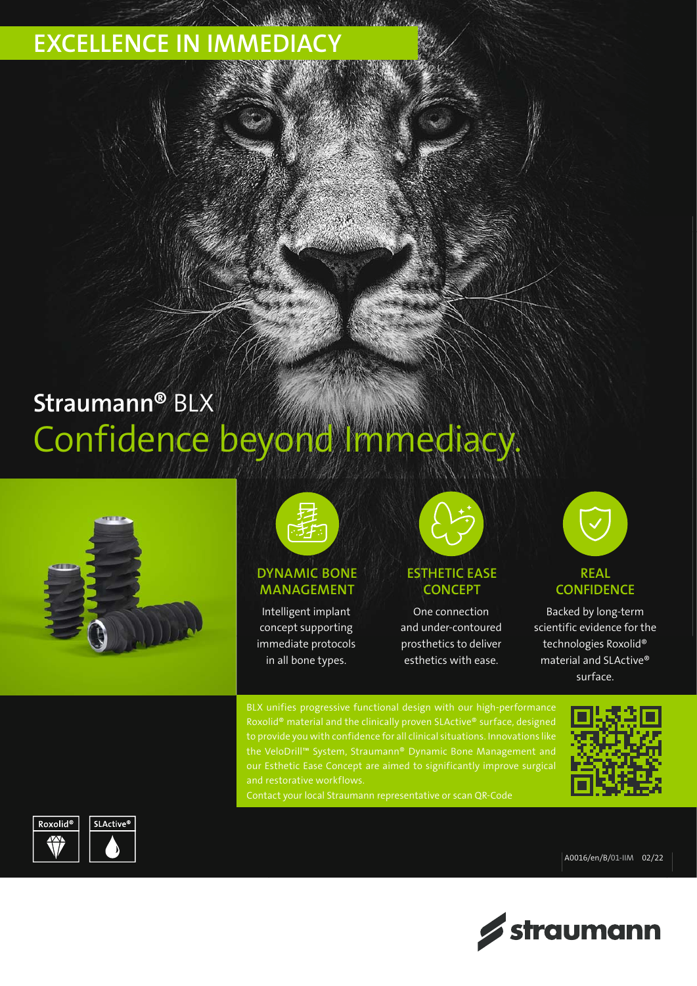### EXCELLENCE IN IMMEDIACY

# Straumann® BLX Confidence beyond Immediac





### DYNAMIC BONE MANAGEMENT

Intelligent implant concept supporting immediate protocols in all bone types.



ESTHETIC EASE **CONCEPT** 

One connection and under-contoured prosthetics to deliver esthetics with ease.



### **CONFIDENCE**

Backed by long-term scientific evidence for the technologies Roxolid® material and SLActive® surface.

BLX unifies progressive functional design with our high-performance Roxolid® material and the clinically proven SLActive® surface, designed the VeloDrill™ System, Straumann® Dynamic Bone Management and our Esthetic Ease Concept are aimed to significantly improve surgical







A0016/en/B/01-IIM 02/22